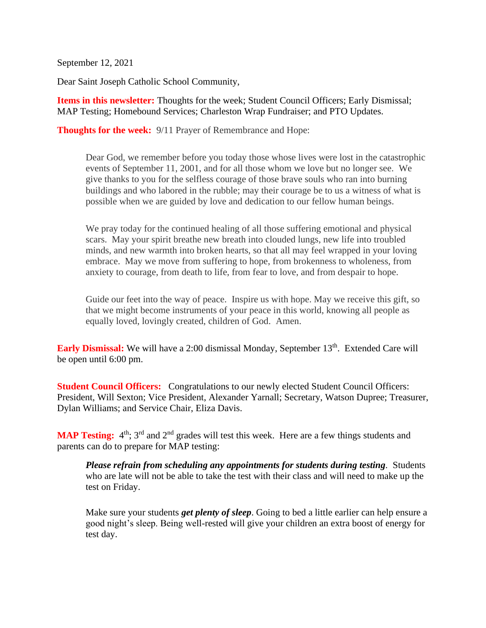September 12, 2021

Dear Saint Joseph Catholic School Community,

**Items in this newsletter:** Thoughts for the week; Student Council Officers; Early Dismissal; MAP Testing; Homebound Services; Charleston Wrap Fundraiser; and PTO Updates.

**Thoughts for the week:** 9/11 Prayer of Remembrance and Hope:

Dear God, we remember before you today those whose lives were lost in the catastrophic events of September 11, 2001, and for all those whom we love but no longer see. We give thanks to you for the selfless courage of those brave souls who ran into burning buildings and who labored in the rubble; may their courage be to us a witness of what is possible when we are guided by love and dedication to our fellow human beings.

We pray today for the continued healing of all those suffering emotional and physical scars. May your spirit breathe new breath into clouded lungs, new life into troubled minds, and new warmth into broken hearts, so that all may feel wrapped in your loving embrace. May we move from suffering to hope, from brokenness to wholeness, from anxiety to courage, from death to life, from fear to love, and from despair to hope.

Guide our feet into the way of peace. Inspire us with hope. May we receive this gift, so that we might become instruments of your peace in this world, knowing all people as equally loved, lovingly created, children of God. Amen.

**Early Dismissal:** We will have a 2:00 dismissal Monday, September 13<sup>th</sup>. Extended Care will be open until 6:00 pm.

**Student Council Officers:** Congratulations to our newly elected Student Council Officers: President, Will Sexton; Vice President, Alexander Yarnall; Secretary, Watson Dupree; Treasurer, Dylan Williams; and Service Chair, Eliza Davis.

**MAP Testing:** 4<sup>th</sup>; 3<sup>rd</sup> and 2<sup>nd</sup> grades will test this week. Here are a few things students and parents can do to prepare for MAP testing:

*Please refrain from scheduling any appointments for students during testing.* Students who are late will not be able to take the test with their class and will need to make up the test on Friday.

Make sure your students *get plenty of sleep*. Going to bed a little earlier can help ensure a good night's sleep. Being well-rested will give your children an extra boost of energy for test day.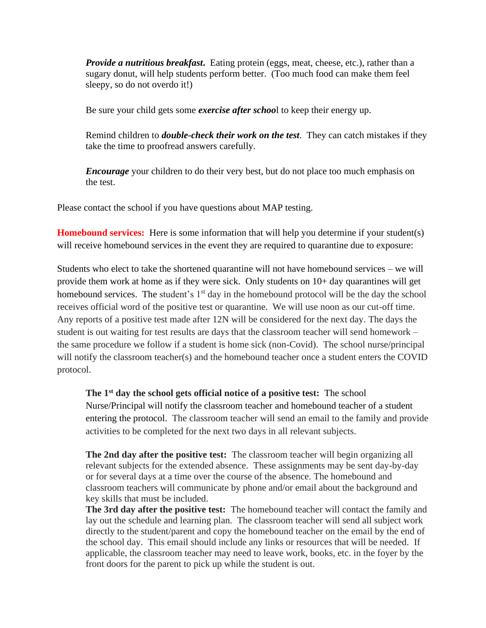*Provide a nutritious breakfast.* Eating protein (eggs, meat, cheese, etc.), rather than a sugary donut, will help students perform better. (Too much food can make them feel sleepy, so do not overdo it!)

Be sure your child gets some *exercise after schoo*l to keep their energy up.

Remind children to *double-check their work on the test*. They can catch mistakes if they take the time to proofread answers carefully.

*Encourage* your children to do their very best, but do not place too much emphasis on the test.

Please contact the school if you have questions about MAP testing.

**Homebound services:** Here is some information that will help you determine if your student(s) will receive homebound services in the event they are required to quarantine due to exposure:

Students who elect to take the shortened quarantine will not have homebound services – we will provide them work at home as if they were sick. Only students on 10+ day quarantines will get homebound services. The student's  $1<sup>st</sup>$  day in the homebound protocol will be the day the school receives official word of the positive test or quarantine. We will use noon as our cut-off time. Any reports of a positive test made after 12N will be considered for the next day. The days the student is out waiting for test results are days that the classroom teacher will send homework – the same procedure we follow if a student is home sick (non-Covid). The school nurse/principal will notify the classroom teacher(s) and the homebound teacher once a student enters the COVID protocol.

## **The 1st day the school gets official notice of a positive test:** The school

Nurse/Principal will notify the classroom teacher and homebound teacher of a student entering the protocol. The classroom teacher will send an email to the family and provide activities to be completed for the next two days in all relevant subjects.

**The 2nd day after the positive test:** The classroom teacher will begin organizing all relevant subjects for the extended absence. These assignments may be sent day-by-day or for several days at a time over the course of the absence. The homebound and classroom teachers will communicate by phone and/or email about the background and key skills that must be included.

**The 3rd day after the positive test:** The homebound teacher will contact the family and lay out the schedule and learning plan. The classroom teacher will send all subject work directly to the student/parent and copy the homebound teacher on the email by the end of the school day. This email should include any links or resources that will be needed. If applicable, the classroom teacher may need to leave work, books, etc. in the foyer by the front doors for the parent to pick up while the student is out.